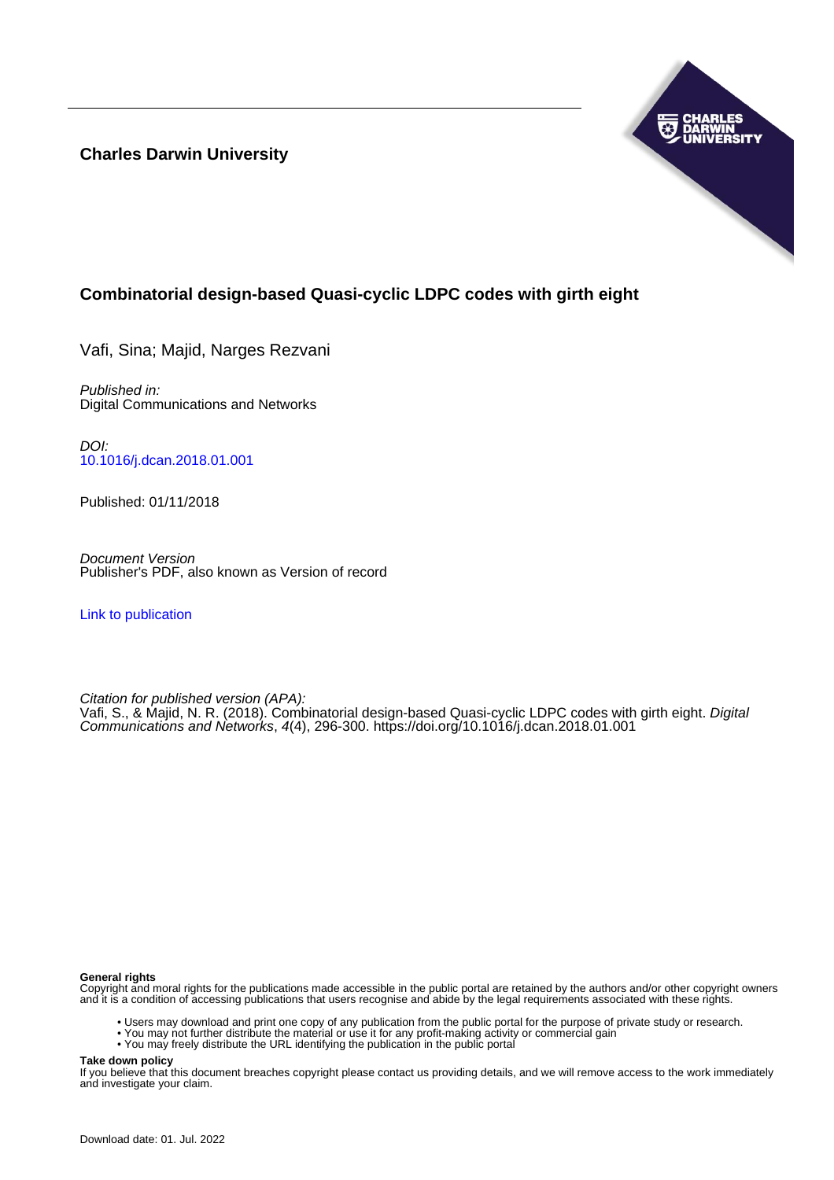**Charles Darwin University**



# **Combinatorial design-based Quasi-cyclic LDPC codes with girth eight**

Vafi, Sina; Majid, Narges Rezvani

Published in: Digital Communications and Networks

DOI: [10.1016/j.dcan.2018.01.001](https://doi.org/10.1016/j.dcan.2018.01.001)

Published: 01/11/2018

Document Version Publisher's PDF, also known as Version of record

[Link to publication](https://researchers.cdu.edu.au/en/publications/a71b601c-a407-4f0e-8cb3-cd3e03074d75)

Citation for published version (APA):

Vafi, S., & Majid, N. R. (2018). Combinatorial design-based Quasi-cyclic LDPC codes with girth eight. Digital Communications and Networks, 4(4), 296-300. <https://doi.org/10.1016/j.dcan.2018.01.001>

## **General rights**

Copyright and moral rights for the publications made accessible in the public portal are retained by the authors and/or other copyright owners and it is a condition of accessing publications that users recognise and abide by the legal requirements associated with these rights.

- Users may download and print one copy of any publication from the public portal for the purpose of private study or research.
- You may not further distribute the material or use it for any profit-making activity or commercial gain
- You may freely distribute the URL identifying the publication in the public portal

**Take down policy**

If you believe that this document breaches copyright please contact us providing details, and we will remove access to the work immediately and investigate your claim.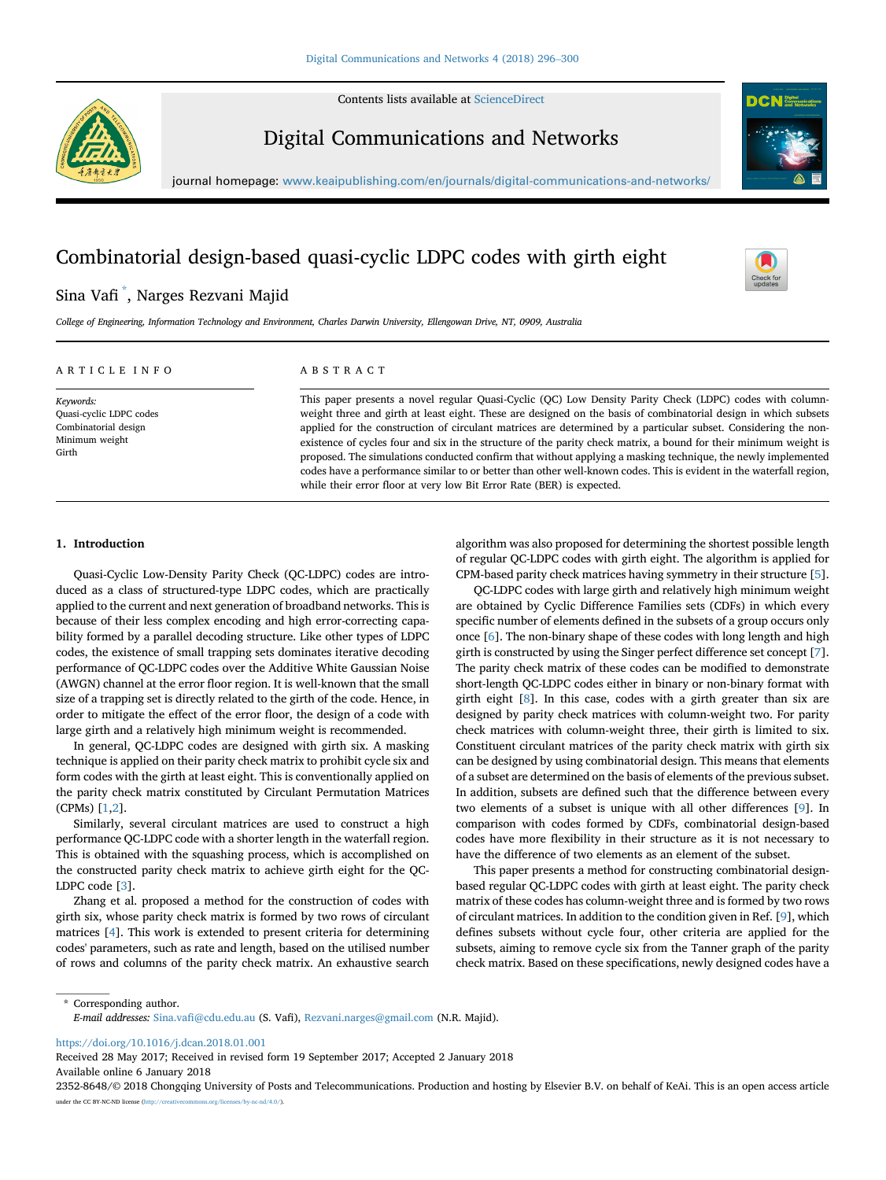Contents lists available at [ScienceDirect](www.sciencedirect.com/science/journal/23528648)



Digital Communications and Networks



journal homepage: [www.keaipublishing.com/en/journals/digital-communications-and-networks/](http://www.keaipublishing.com/en/journals/digital-communications-and-networks/)

## Combinatorial design-based quasi-cyclic LDPC codes with girth eight

## Sina Vafi \* , Narges Rezvani Majid

College of Engineering, Information Technology and Environment, Charles Darwin University, Ellengowan Drive, NT, 0909, Australia

## ARTICLE INFO

Keywords: Quasi-cyclic LDPC codes Combinatorial design Minimum weight Girth

## ABSTRACT

This paper presents a novel regular Quasi-Cyclic (QC) Low Density Parity Check (LDPC) codes with columnweight three and girth at least eight. These are designed on the basis of combinatorial design in which subsets applied for the construction of circulant matrices are determined by a particular subset. Considering the nonexistence of cycles four and six in the structure of the parity check matrix, a bound for their minimum weight is proposed. The simulations conducted confirm that without applying a masking technique, the newly implemented codes have a performance similar to or better than other well-known codes. This is evident in the waterfall region, while their error floor at very low Bit Error Rate (BER) is expected.

### 1. Introduction

Quasi-Cyclic Low-Density Parity Check (QC-LDPC) codes are introduced as a class of structured-type LDPC codes, which are practically applied to the current and next generation of broadband networks. This is because of their less complex encoding and high error-correcting capability formed by a parallel decoding structure. Like other types of LDPC codes, the existence of small trapping sets dominates iterative decoding performance of QC-LDPC codes over the Additive White Gaussian Noise (AWGN) channel at the error floor region. It is well-known that the small size of a trapping set is directly related to the girth of the code. Hence, in order to mitigate the effect of the error floor, the design of a code with large girth and a relatively high minimum weight is recommended.

In general, QC-LDPC codes are designed with girth six. A masking technique is applied on their parity check matrix to prohibit cycle six and form codes with the girth at least eight. This is conventionally applied on the parity check matrix constituted by Circulant Permutation Matrices (CPMs) [[1](#page-5-0),[2\]](#page-5-0).

Similarly, several circulant matrices are used to construct a high performance QC-LDPC code with a shorter length in the waterfall region. This is obtained with the squashing process, which is accomplished on the constructed parity check matrix to achieve girth eight for the QC-LDPC code [\[3\]](#page-5-0).

Zhang et al. proposed a method for the construction of codes with girth six, whose parity check matrix is formed by two rows of circulant matrices [\[4\]](#page-5-0). This work is extended to present criteria for determining codes' parameters, such as rate and length, based on the utilised number of rows and columns of the parity check matrix. An exhaustive search

algorithm was also proposed for determining the shortest possible length of regular QC-LDPC codes with girth eight. The algorithm is applied for CPM-based parity check matrices having symmetry in their structure [[5](#page-5-0)].

QC-LDPC codes with large girth and relatively high minimum weight are obtained by Cyclic Difference Families sets (CDFs) in which every specific number of elements defined in the subsets of a group occurs only once [\[6\]](#page-5-0). The non-binary shape of these codes with long length and high girth is constructed by using the Singer perfect difference set concept [[7](#page-5-0)]. The parity check matrix of these codes can be modified to demonstrate short-length QC-LDPC codes either in binary or non-binary format with girth eight [\[8](#page-5-0)]. In this case, codes with a girth greater than six are designed by parity check matrices with column-weight two. For parity check matrices with column-weight three, their girth is limited to six. Constituent circulant matrices of the parity check matrix with girth six can be designed by using combinatorial design. This means that elements of a subset are determined on the basis of elements of the previous subset. In addition, subsets are defined such that the difference between every two elements of a subset is unique with all other differences [\[9\]](#page-5-0). In comparison with codes formed by CDFs, combinatorial design-based codes have more flexibility in their structure as it is not necessary to have the difference of two elements as an element of the subset.

This paper presents a method for constructing combinatorial designbased regular QC-LDPC codes with girth at least eight. The parity check matrix of these codes has column-weight three and is formed by two rows of circulant matrices. In addition to the condition given in Ref. [[9](#page-5-0)], which defines subsets without cycle four, other criteria are applied for the subsets, aiming to remove cycle six from the Tanner graph of the parity check matrix. Based on these specifications, newly designed codes have a

\* Corresponding author. E-mail addresses: Sina.vafi[@cdu.edu.au](mailto:Sina.vafi@cdu.edu.au) (S. Vafi), [Rezvani.narges@gmail.com](mailto:Rezvani.narges@gmail.com) (N.R. Majid).

<https://doi.org/10.1016/j.dcan.2018.01.001>

Received 28 May 2017; Received in revised form 19 September 2017; Accepted 2 January 2018 Available online 6 January 2018

2352-8648/© 2018 Chongqing University of Posts and Telecommunications. Production and hosting by Elsevier B.V. on behalf of KeAi. This is an open access article under the CC BY-NC-ND license ([http://creativecommons.org/licenses/by-nc-nd/4.0/\)](http://creativecommons.org/licenses/by-nc-nd/4.0/).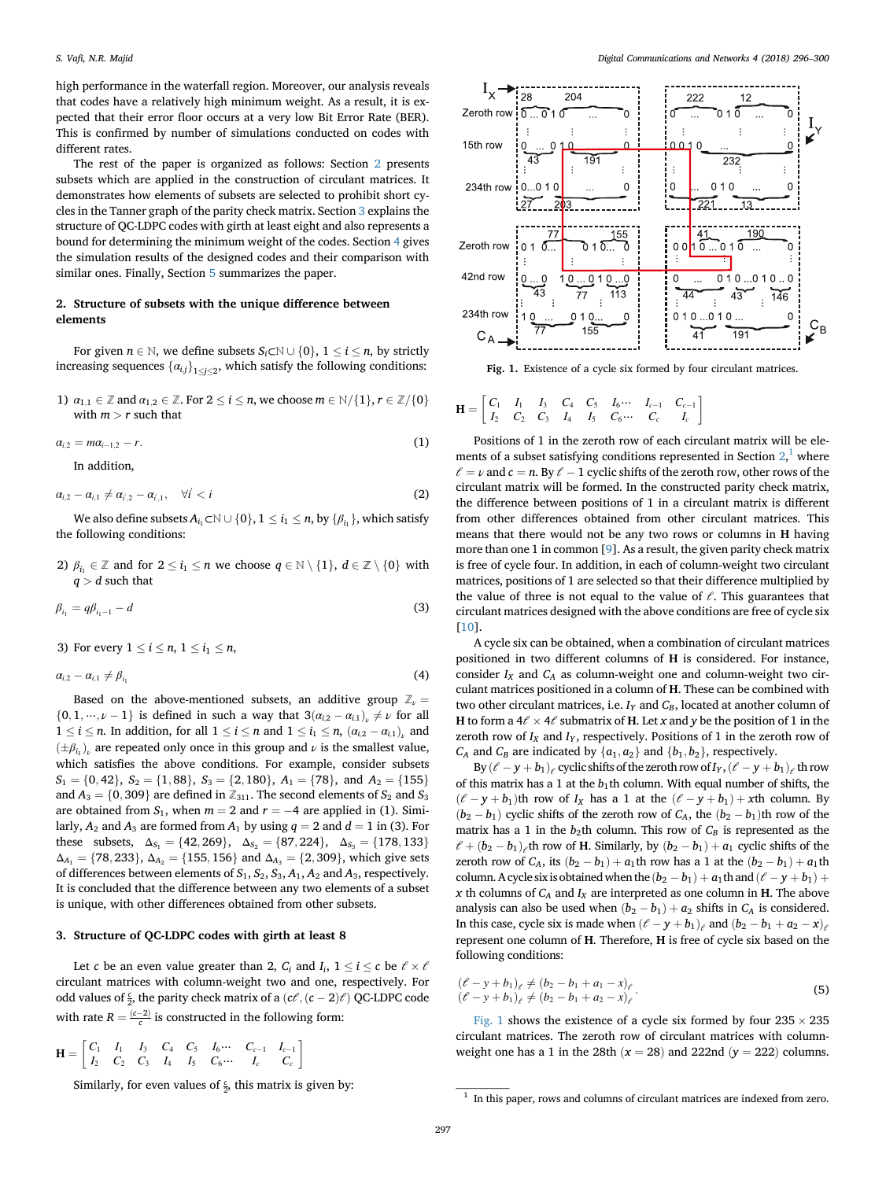<span id="page-2-0"></span>high performance in the waterfall region. Moreover, our analysis reveals that codes have a relatively high minimum weight. As a result, it is expected that their error floor occurs at a very low Bit Error Rate (BER). This is confirmed by number of simulations conducted on codes with different rates.

The rest of the paper is organized as follows: Section 2 presents subsets which are applied in the construction of circulant matrices. It demonstrates how elements of subsets are selected to prohibit short cycles in the Tanner graph of the parity check matrix. Section 3 explains the structure of QC-LDPC codes with girth at least eight and also represents a bound for determining the minimum weight of the codes. Section [4](#page-4-0) gives the simulation results of the designed codes and their comparison with similar ones. Finally, Section [5](#page-5-0) summarizes the paper.

### 2. Structure of subsets with the unique difference between elements

For given  $n \in \mathbb{N}$ , we define subsets  $S_i \subset \mathbb{N} \cup \{0\}$ ,  $1 \le i \le n$ , by strictly increasing sequences  $\{\alpha_{i,j}\}_{1\leq j\leq 2}$ , which satisfy the following conditions:

1)  $\alpha_{1,1} \in \mathbb{Z}$  and  $\alpha_{1,2} \in \mathbb{Z}$ . For  $2 \le i \le n$ , we choose  $m \in \mathbb{N}/\{1\}$ ,  $r \in \mathbb{Z}/\{0\}$ <br>with  $m > r$  such that with  $m > r$  such that

$$
\alpha_{i,2} = m\alpha_{i-1,2} - r.\tag{1}
$$

In addition,

$$
\alpha_{i,2} - \alpha_{i,1} \neq \alpha_{i,2} - \alpha_{i,1}, \quad \forall i < i \tag{2}
$$

We also define subsets  $A_{i_1} \subset \mathbb{N} \cup \{0\}$ ,  $1 \leq i_1 \leq n$ , by  $\{\beta_{i_1}\}\)$ , which satisfy following conditions: the following conditions:

2)  $\beta_{i_1} \in \mathbb{Z}$  and for  $2 \le i_1 \le n$  we choose  $q \in \mathbb{N} \setminus \{1\}$ ,  $d \in \mathbb{Z} \setminus \{0\}$  with  $q > d$  such that

$$
\beta_{i_1} = q\beta_{i_1-1} - d \tag{3}
$$

3) For every  $1 \leq i \leq n$ ,  $1 \leq i_1 \leq n$ ,

$$
\alpha_{i,2} - \alpha_{i,1} \neq \beta_{i_1} \tag{4}
$$

Based on the above-mentioned subsets, an additive group  $\mathbb{Z}_{\nu} =$  $\{0, 1, \dots, \nu - 1\}$  is defined in such a way that  $3(a_{i2} - a_{i1})$   $\neq \nu$  for all  $1 \le i \le n$ . In addition, for all  $1 \le i \le n$  and  $1 \le i_1 \le n$ ,  $(a_{i,2} - a_{i,1})$ , and  $(a_{i,2} - a_{i,2})$  are repeated only ange in this group and *u* is the emallest value.  $(\pm \beta_{i_1})$  are repeated only once in this group and  $\nu$  is the smallest value, which satisfies the above conditions. For example, consider subsets  $S_1 = \{0, 42\}, S_2 = \{1, 88\}, S_3 = \{2, 180\}, A_1 = \{78\}, \text{ and } A_2 = \{155\}$ and  $A_3 = \{0, 309\}$  are defined in  $\mathbb{Z}_{311}.$  The second elements of  $S_2$  and  $S_3$ are obtained from  $S_1$ , when  $m = 2$  and  $r = -4$  are applied in (1). Similarly,  $A_2$  and  $A_3$  are formed from  $A_1$  by using  $q = 2$  and  $d = 1$  in (3). For these subsets,  $\Delta_{S_1} = \{42, 269\}, \quad \Delta_{S_2} = \{87, 224\}, \quad \Delta_{S_3} = \{178, 133\}$  $\Delta_{A_1} = \{78, 233\}, \Delta_{A_2} = \{155, 156\}$  and  $\Delta_{A_3} = \{2, 309\},$  which give sets of differences between elements of  $S_1$ ,  $S_2$ ,  $S_3$ ,  $A_1$ ,  $A_2$  and  $A_3$ , respectively. It is concluded that the difference between any two elements of a subset is unique, with other differences obtained from other subsets.

#### 3. Structure of QC-LDPC codes with girth at least 8

Let c be an even value greater than 2,  $C_i$  and  $I_i$ ,  $1 \le i \le c$  be  $\ell \times \ell$ <br>what matrices with column weight two and one, respectively. For circulant matrices with column-weight two and one, respectively. For odd values of  $\frac{c}{2}$ , the parity check matrix of a  $(c\ell, (c-2)\ell)$  QC-LDPC code with rate  $R = \frac{(c-2)}{c}$  is constructed in the following form:

$$
\mathbf{H} = \begin{bmatrix} C_1 & I_1 & I_3 & C_4 & C_5 & I_6 \cdots & C_{c-1} & I_{c-1} \\ I_2 & C_2 & C_3 & I_4 & I_5 & C_6 \cdots & I_c & C_c \end{bmatrix}
$$

Similarly, for even values of  $\frac{c}{2}$ , this matrix is given by:



Fig. 1. Existence of a cycle six formed by four circulant matrices.

$$
\mathbf{H} = \begin{bmatrix} C_1 & I_1 & I_3 & C_4 & C_5 & I_6 \cdots & I_{c-1} & C_{c-1} \\ I_2 & C_2 & C_3 & I_4 & I_5 & C_6 \cdots & C_c & I_c \end{bmatrix}
$$

Positions of 1 in the zeroth row of each circulant matrix will be elements of a subset satisfying conditions represented in Section  $2$ , where  $\ell = \nu$  and  $c = n$ . By  $\ell - 1$  cyclic shifts of the zeroth row, other rows of the circulant matrix will be formed. In the constructed parity check matrix, the difference between positions of 1 in a circulant matrix is different from other differences obtained from other circulant matrices. This means that there would not be any two rows or columns in H having more than one 1 in common [\[9\]](#page-5-0). As a result, the given parity check matrix is free of cycle four. In addition, in each of column-weight two circulant matrices, positions of 1 are selected so that their difference multiplied by the value of three is not equal to the value of  $\ell$ . This guarantees that circulant matrices designed with the above conditions are free of cycle six [[10\]](#page-5-0).

A cycle six can be obtained, when a combination of circulant matrices positioned in two different columns of H is considered. For instance, consider  $I_X$  and  $C_A$  as column-weight one and column-weight two circulant matrices positioned in a column of H. These can be combined with two other circulant matrices, i.e.  $I_Y$  and  $C_B$ , located at another column of H to form a  $4\ell \times 4\ell$  submatrix of H. Let x and y be the position of 1 in the zeroth row of  $I_X$  and  $I_Y$ , respectively. Positions of 1 in the zeroth row of  $C_A$  and  $C_B$  are indicated by  $\{a_1, a_2\}$  and  $\{b_1, b_2\}$ , respectively.

By  $(\ell - y + b_1)_\ell$  cyclic shifts of the zeroth row of  $I_Y$ ,  $(\ell - y + b_1)_\ell$  th row of this matrix has a 1 at the  $b_1$ th column. With equal number of shifts, the  $(\ell - y + b_1)$ th row of  $I_X$  has a 1 at the  $(\ell - y + b_1) + xt$ h column. By  $(b_2 - b_1)$  cyclic shifts of the zeroth row of  $C_A$ , the  $(b_2 - b_1)$ th row of the matrix has a 1 in the  $b_2$ th column. This row of  $C_B$  is represented as the  $\ell + (b_2 - b_1)$ <sub>e</sub>th row of **H**. Similarly, by  $(b_2 - b_1) + a_1$  cyclic shifts of the zeroth row of  $C_A$ , its  $(b_2 - b_1) + a_1$ th row has a 1 at the  $(b_2 - b_1) + a_1$ th column. A cycle six is obtained when the  $(b_2 - b_1) + a_1$ th and  $(\ell - y + b_1) +$ x th columns of  $C_A$  and  $I_X$  are interpreted as one column in H. The above analysis can also be used when  $(b_2 - b_1) + a_2$  shifts in  $C_A$  is considered. In this case, cycle six is made when  $(\ell - y + b_1)_{\ell}$  and  $(b_2 - b_1 + a_2 - x)_{\ell}$ represent one column of H. Therefore, H is free of cycle six based on the following conditions:

$$
(\ell - y + b_1)_{\ell} \neq (b_2 - b_1 + a_1 - x)_{\ell}
$$
  
( $\ell - y + b_1$ )\_{\ell} \neq (b\_2 - b\_1 + a\_2 - x)\_{\ell} (5)

Fig. 1 shows the existence of a cycle six formed by four  $235 \times 235$ circulant matrices. The zeroth row of circulant matrices with columnweight one has a 1 in the 28th  $(x = 28)$  and 222nd  $(y = 222)$  columns.

 $1$  In this paper, rows and columns of circulant matrices are indexed from zero.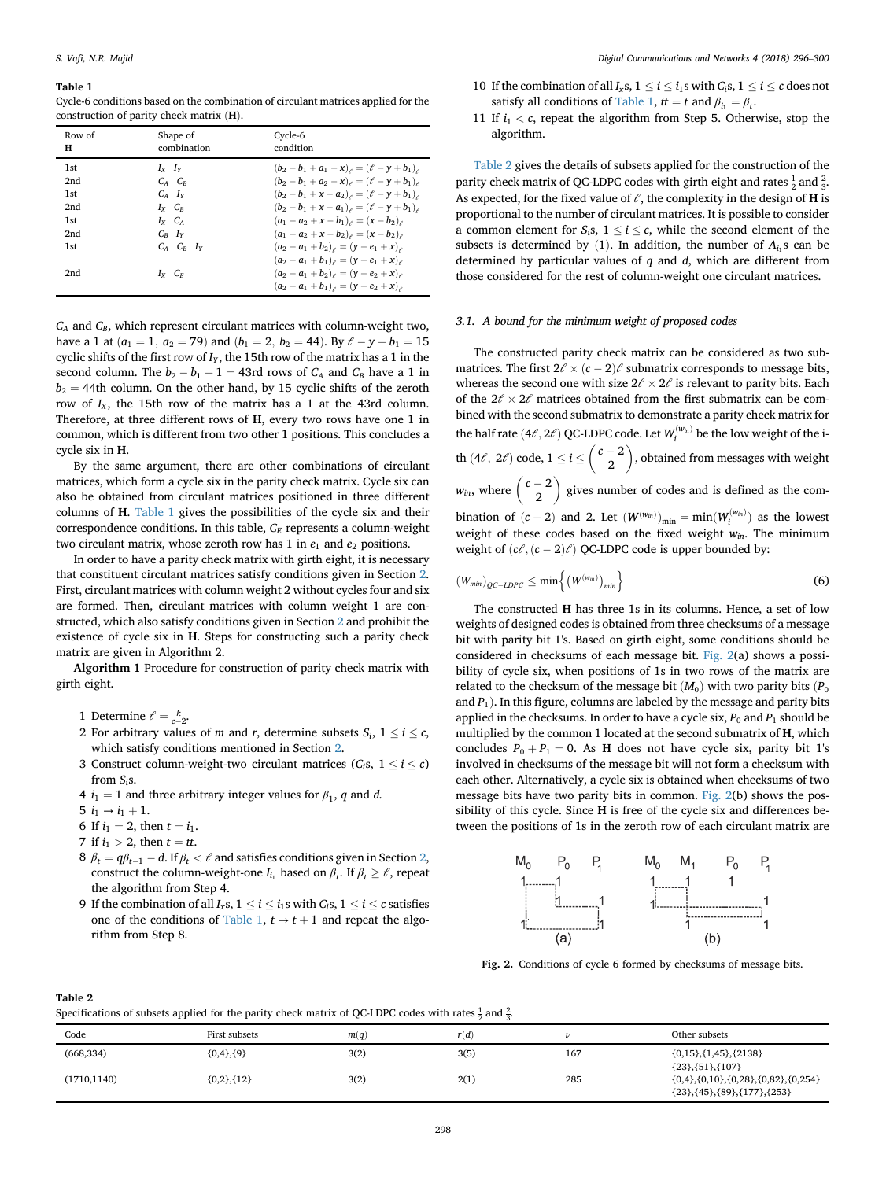#### Table 1

Cycle-6 conditions based on the combination of circulant matrices applied for the construction of parity check matrix (H).

| Row of<br>н     | Shape of<br>combination | Cycle-6<br>condition                                          |
|-----------------|-------------------------|---------------------------------------------------------------|
| 1 <sub>st</sub> | $I_Y$ $I_Y$             | $(b_2 - b_1 + a_1 - x)_{\ell} = (\ell - \gamma + b_1)_{\ell}$ |
| 2nd             | $C_A$ $C_R$             | $(b_2 - b_1 + a_2 - x)_{\ell} = (\ell - y + b_1)_{\ell}$      |
| 1st             | $C_4$ $I_V$             | $(b_2 - b_1 + x - a_2)_{\ell} = (\ell - \gamma + b_1)_{\ell}$ |
| 2nd             | $I_X$ $C_R$             | $(b_2 - b_1 + x - a_1)_{\ell} = (\ell - y + b_1)_{\ell}$      |
| 1st             | $I_X$ $C_A$             | $(a_1 - a_2 + x - b_1)_{\ell} = (x - b_2)_{\ell}$             |
| 2nd             | $C_R$ $I_V$             | $(a_1 - a_2 + x - b_2)_{\ell} = (x - b_2)_{\ell}$             |
| 1 <sub>st</sub> | $C_A$ $C_B$ $I_V$       | $(a_2 - a_1 + b_2)_{\ell} = (y - e_1 + x)_{\ell}$             |
|                 |                         | $(a_2 - a_1 + b_1)_{\ell} = (y - e_1 + x)_{\ell}$             |
| 2nd             | $I_X$ $C_F$             | $(a_2 - a_1 + b_2)_{\ell} = (y - e_2 + x)_{\ell}$             |
|                 |                         | $(a_2 - a_1 + b_1)_{\ell} = (y - e_2 + x)_{\ell}$             |

 $C_A$  and  $C_B$ , which represent circulant matrices with column-weight two, have a 1 at  $(a_1 = 1, a_2 = 79)$  and  $(b_1 = 2, b_2 = 44)$ . By  $\ell - y + b_1 = 15$ cyclic shifts of the first row of  $I_Y$ , the 15th row of the matrix has a 1 in the second column. The  $b_2 - b_1 + 1 = 43$ rd rows of  $C_A$  and  $C_B$  have a 1 in  $b_2$  = 44th column. On the other hand, by 15 cyclic shifts of the zeroth row of  $I_X$ , the 15th row of the matrix has a 1 at the 43rd column. Therefore, at three different rows of H, every two rows have one 1 in common, which is different from two other 1 positions. This concludes a cycle six in H.

By the same argument, there are other combinations of circulant matrices, which form a cycle six in the parity check matrix. Cycle six can also be obtained from circulant matrices positioned in three different columns of H. Table 1 gives the possibilities of the cycle six and their correspondence conditions. In this table,  $C_E$  represents a column-weight two circulant matrix, whose zeroth row has 1 in  $e_1$  and  $e_2$  positions.

In order to have a parity check matrix with girth eight, it is necessary that constituent circulant matrices satisfy conditions given in Section [2.](#page-2-0) First, circulant matrices with column weight 2 without cycles four and six are formed. Then, circulant matrices with column weight 1 are constructed, which also satisfy conditions given in Section [2](#page-2-0) and prohibit the existence of cycle six in H. Steps for constructing such a parity check matrix are given in Algorithm 2.

Algorithm 1 Procedure for construction of parity check matrix with girth eight.

- 1 Determine  $\ell = \frac{k}{c-2}$ .
- 2 For arbitrary values of *m* and *r*, determine subsets  $S_i$ ,  $1 \le i \le c$ , which estisfy conditions mentioned in Section 2. which satisfy conditions mentioned in Section [2.](#page-2-0)
- 3 Construct column-weight-two circulant matrices  $(C_i, 1 \le i \le c)$ from  $S_i$ s.
- 4  $i_1 = 1$  and three arbitrary integer values for  $\beta_1$ , q and d.
- 5  $i_1 \rightarrow i_1 + 1$ .
- 6 If  $i_1 = 2$ , then  $t = i_1$ .
- 7 if  $i_1 > 2$ , then  $t = tt$ .
- 8  $\beta_t = q\beta_{t-1} d$ . If  $\beta_t < \ell$  and satisfies conditions given in Section [2,](#page-2-0) construct the column-weight-one  $I_{i_1}$  based on  $\beta_t$ . If  $\beta_t \geq \ell$ , repeat the algorithm from Step 4.
- 9 If the combination of all  $I_x$ s,  $1 \le i \le i_1$ s with  $C_i$ s,  $1 \le i \le c$  satisfies one of the conditions of Table 1,  $t \rightarrow t + 1$  and repeat the algorithm from Step 8.
- 10 If the combination of all  $I_x$ s,  $1 \le i \le i_1$ s with  $C_i$ s,  $1 \le i \le c$  does not<br>catiefy all conditions of Table 1,  $t = t$  and  $\beta = \beta$ satisfy all conditions of Table 1,  $tt = t$  and  $\beta_{i_1} = \beta_{t_2}$ .
- 11 If  $i_1 < c$ , repeat the algorithm from Step 5. Otherwise, stop the algorithm.

Table 2 gives the details of subsets applied for the construction of the parity check matrix of QC-LDPC codes with girth eight and rates  $\frac{1}{2}$  and  $\frac{2}{3}$ . As expected, for the fixed value of  $\ell$ , the complexity in the design of H is proportional to the number of circulant matrices. It is possible to consider a common element for  $S_i$ s,  $1 \le i \le c$ , while the second element of the subsets is determined by (1) In addition, the number of A, s can be subsets is determined by (1). In addition, the number of  $A_{i}$  s can be determined by particular values of  $q$  and  $d$ , which are different from those considered for the rest of column-weight one circulant matrices.

#### 3.1. A bound for the minimum weight of proposed codes

The constructed parity check matrix can be considered as two submatrices. The first  $2\ell \times (c-2)\ell$  submatrix corresponds to message bits, whereas the second one with size  $2\ell \times 2\ell$  is relevant to parity bits. Each of the  $2\ell \times 2\ell$  matrices obtained from the first submatrix can be combined with the second submatrix to demonstrate a parity check matrix for the half rate  $(4\ell, 2\ell)$  QC-LDPC code. Let  $W_i^{(w_{in})}$ the half rate  $(4\ell, 2\ell)$  QC-LDPC code. Let  $W_i^{(w_{in})}$  be the low weight of the ith  $(4\ell, 2\ell)$  code,  $1 \le i \le \binom{c-2}{2}$  , obtained from messages with weight  $w_{in}$ , where  $\begin{pmatrix} c-2 \\ 2 \end{pmatrix}$  gives number of codes and is defined as the combination of  $(c-2)$  and 2. Let  $(W^{(w_m)})_{\text{min}} = \min(W^{(w_m)}_i)$  as the lowest weight of these codes based on the fixed weight  $w_{in}$ . The minimum weight of  $(c\ell, (c-2)\ell)$  QC-LDPC code is upper bounded by:

$$
\left(W_{min}\right)_{QC-LDPC} \leq \min\left\{\left(W^{(w_{in})}\right)_{min}\right\} \tag{6}
$$

The constructed H has three 1s in its columns. Hence, a set of low weights of designed codes is obtained from three checksums of a message bit with parity bit 1's. Based on girth eight, some conditions should be considered in checksums of each message bit. Fig. 2(a) shows a possibility of cycle six, when positions of 1s in two rows of the matrix are related to the checksum of the message bit  $(M_0)$  with two parity bits  $(P_0)$ and  $P_1$ ). In this figure, columns are labeled by the message and parity bits applied in the checksums. In order to have a cycle six,  $P_0$  and  $P_1$  should be multiplied by the common 1 located at the second submatrix of H, which concludes  $P_0 + P_1 = 0$ . As **H** does not have cycle six, parity bit 1's involved in checksums of the message bit will not form a checksum with each other. Alternatively, a cycle six is obtained when checksums of two message bits have two parity bits in common. Fig. 2(b) shows the possibility of this cycle. Since H is free of the cycle six and differences between the positions of 1s in the zeroth row of each circulant matrix are



Fig. 2. Conditions of cycle 6 formed by checksums of message bits.

#### Table 2

Specifications of subsets applied for the parity check matrix of QC-LDPC codes with rates  $\frac{1}{2}$  and  $\frac{2}{3}$ .

| Code         | First subsets     | m(q) | r(d) |     | Other subsets                                                                          |  |  |
|--------------|-------------------|------|------|-----|----------------------------------------------------------------------------------------|--|--|
| (668, 334)   | ${0,4}, {9}$      | 3(2) | 3(5) | 167 | $\{0,15\}, \{1,45\}, \{2138\}$<br>${23}, {51}, {107}$                                  |  |  |
| (1710, 1140) | $\{0,2\}, \{12\}$ | 3(2) | 2(1) | 285 | $\{0,4\}, \{0,10\}, \{0,28\}, \{0,82\}, \{0,254\}$<br>${23}, {45}, {89}, {177}, {253}$ |  |  |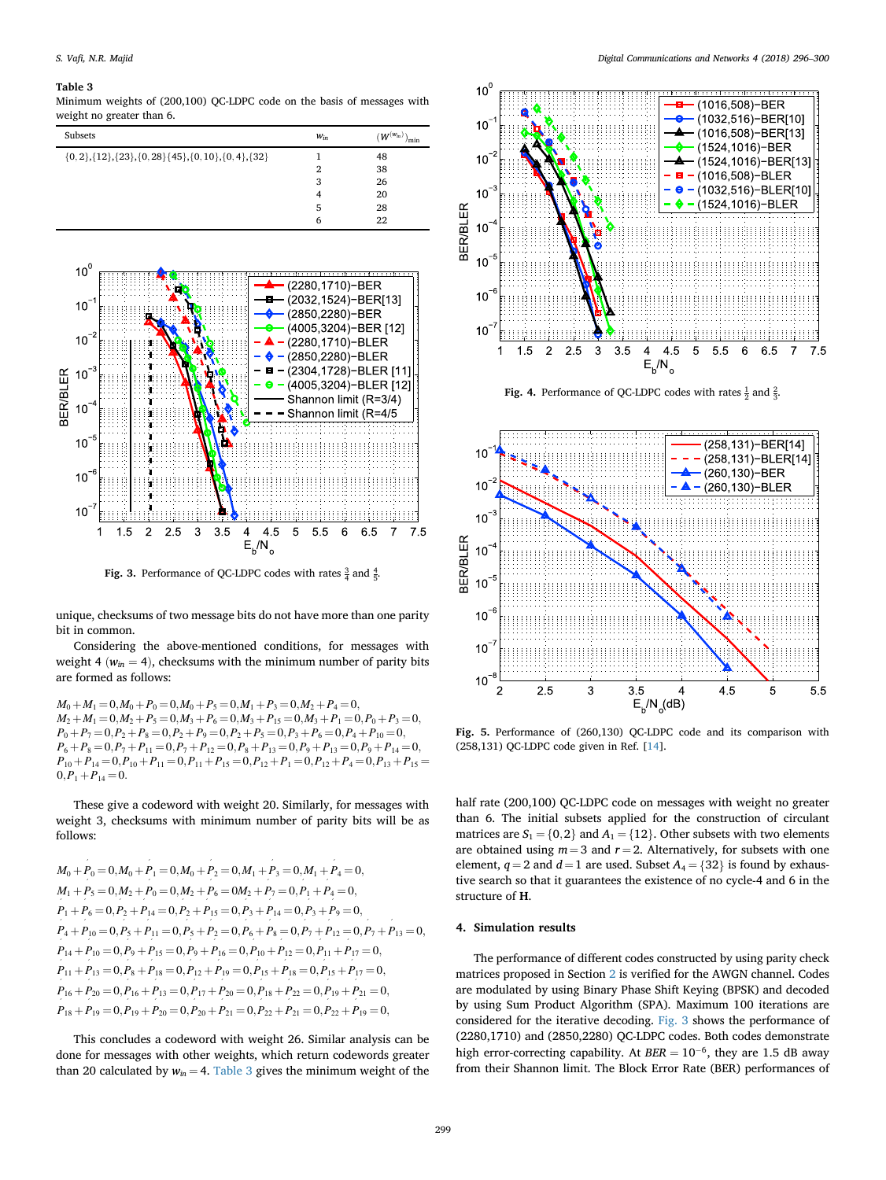#### <span id="page-4-0"></span>Table 3

Minimum weights of (200,100) QC-LDPC code on the basis of messages with weight no greater than 6.





**Fig. 3.** Performance of QC-LDPC codes with rates  $\frac{3}{4}$  and  $\frac{4}{5}$ .

unique, checksums of two message bits do not have more than one parity bit in common.

Considering the above-mentioned conditions, for messages with weight 4 ( $w_{in}$  = 4), checksums with the minimum number of parity bits are formed as follows:

 $M_0 + M_1 = 0, M_0 + P_0 = 0, M_0 + P_5 = 0, M_1 + P_3 = 0, M_2 + P_4 = 0,$  $M_2 + M_1 = 0, M_2 + P_5 = 0, M_3 + P_6 = 0, M_3 + P_{15} = 0, M_3 + P_1 = 0, P_0 + P_3 = 0,$  $P_0 + P_7 = 0, P_2 + P_8 = 0, P_2 + P_9 = 0, P_2 + P_5 = 0, P_3 + P_6 = 0, P_4 + P_{10} = 0,$  $P_6 + P_8 = 0, P_7 + P_{11} = 0, P_7 + P_{12} = 0, P_8 + P_{13} = 0, P_9 + P_{13} = 0, P_9 + P_{14} = 0,$  $P_{10} + P_{14} = 0, P_{10} + P_{11} = 0, P_{11} + P_{15} = 0, P_{12} + P_1 = 0, P_{12} + P_4 = 0, P_{13} + P_{15} =$  $0, P_1 + P_{14} = 0.$ 

These give a codeword with weight 20. Similarly, for messages with weight 3, checksums with minimum number of parity bits will be as follows:

$$
M_0 + P_0 = 0, M_0 + P_1 = 0, M_0 + P_2 = 0, M_1 + P_3 = 0, M_1 + P_4 = 0,
$$
  
\n
$$
M_1 + P_5 = 0, M_2 + P_0 = 0, M_2 + P_6 = 0M_2 + P_7 = 0, P_1 + P_4 = 0,
$$
  
\n
$$
P_1 + P_6 = 0, P_2 + P_{14} = 0, P_2 + P_{15} = 0, P_3 + P_{14} = 0, P_3 + P_9 = 0,
$$
  
\n
$$
P_4 + P_{10} = 0, P_5 + P_{11} = 0, P_5 + P_2 = 0, P_6 + P_8 = 0, P_7 + P_{12} = 0, P_7 + P_{13} = 0,
$$
  
\n
$$
P_{14} + P_{10} = 0, P_9 + P_{15} = 0, P_9 + P_{16} = 0, P_{10} + P_{12} = 0, P_{11} + P_{17} = 0,
$$
  
\n
$$
P_{11} + P_{13} = 0, P_8 + P_{18} = 0, P_{12} + P_{19} = 0, P_{15} + P_{18} = 0, P_{15} + P_{17} = 0,
$$
  
\n
$$
P_{16} + P_{20} = 0, P_{16} + P_{13} = 0, P_{17} + P_{20} = 0, P_{18} + P_{22} = 0, P_{19} + P_{21} = 0,
$$
  
\n
$$
P_{18} + P_{19} = 0, P_{19} + P_{20} = 0, P_{20} + P_{21} = 0, P_{22} + P_{21} = 0, P_{22} + P_{19} = 0,
$$

This concludes a codeword with weight 26. Similar analysis can be done for messages with other weights, which return codewords greater than 20 calculated by  $w_{in} = 4$ . Table 3 gives the minimum weight of the



**Fig. 4.** Performance of QC-LDPC codes with rates  $\frac{1}{2}$  and  $\frac{2}{3}$ .

 $E_{b}/N_{0}$ 



Fig. 5. Performance of (260,130) QC-LDPC code and its comparison with (258,131) QC-LDPC code given in Ref. [\[14](#page-5-0)].

half rate (200,100) QC-LDPC code on messages with weight no greater than 6. The initial subsets applied for the construction of circulant matrices are  $S_1 = \{0, 2\}$  and  $A_1 = \{12\}$ . Other subsets with two elements are obtained using  $m = 3$  and  $r = 2$ . Alternatively, for subsets with one element,  $q = 2$  and  $d = 1$  are used. Subset  $A_4 = \{32\}$  is found by exhaustive search so that it guarantees the existence of no cycle-4 and 6 in the structure of H.

#### 4. Simulation results

The performance of different codes constructed by using parity check matrices proposed in Section [2](#page-2-0) is verified for the AWGN channel. Codes are modulated by using Binary Phase Shift Keying (BPSK) and decoded by using Sum Product Algorithm (SPA). Maximum 100 iterations are considered for the iterative decoding. Fig. 3 shows the performance of (2280,1710) and (2850,2280) QC-LDPC codes. Both codes demonstrate high error-correcting capability. At  $BER = 10^{-6}$ , they are 1.5 dB away from their Shannon limit. The Block Error Rate (BER) performances of